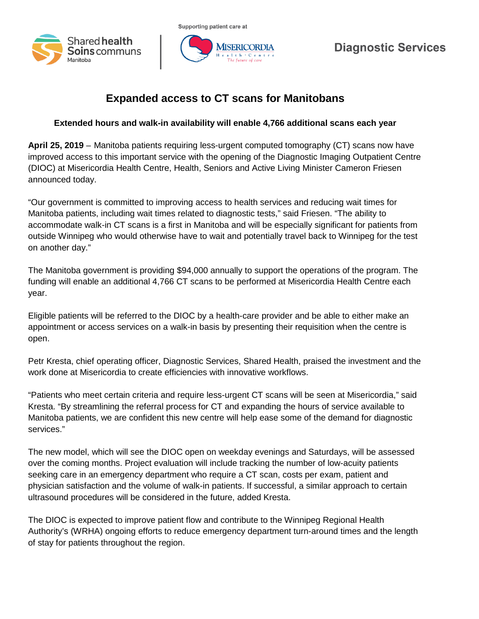



## **Diagnostic Services**

## **Expanded access to CT scans for Manitobans**

## **Extended hours and walk-in availability will enable 4,766 additional scans each year**

**April 25, 2019** – Manitoba patients requiring less-urgent computed tomography (CT) scans now have improved access to this important service with the opening of the Diagnostic Imaging Outpatient Centre (DIOC) at Misericordia Health Centre, Health, Seniors and Active Living Minister Cameron Friesen announced today.

"Our government is committed to improving access to health services and reducing wait times for Manitoba patients, including wait times related to diagnostic tests," said Friesen. "The ability to accommodate walk-in CT scans is a first in Manitoba and will be especially significant for patients from outside Winnipeg who would otherwise have to wait and potentially travel back to Winnipeg for the test on another day."

The Manitoba government is providing \$94,000 annually to support the operations of the program. The funding will enable an additional 4,766 CT scans to be performed at Misericordia Health Centre each year.

Eligible patients will be referred to the DIOC by a health-care provider and be able to either make an appointment or access services on a walk-in basis by presenting their requisition when the centre is open.

Petr Kresta, chief operating officer, Diagnostic Services, Shared Health, praised the investment and the work done at Misericordia to create efficiencies with innovative workflows.

"Patients who meet certain criteria and require less-urgent CT scans will be seen at Misericordia," said Kresta. "By streamlining the referral process for CT and expanding the hours of service available to Manitoba patients, we are confident this new centre will help ease some of the demand for diagnostic services."

The new model, which will see the DIOC open on weekday evenings and Saturdays, will be assessed over the coming months. Project evaluation will include tracking the number of low-acuity patients seeking care in an emergency department who require a CT scan, costs per exam, patient and physician satisfaction and the volume of walk-in patients. If successful, a similar approach to certain ultrasound procedures will be considered in the future, added Kresta.

The DIOC is expected to improve patient flow and contribute to the Winnipeg Regional Health Authority's (WRHA) ongoing efforts to reduce emergency department turn-around times and the length of stay for patients throughout the region.